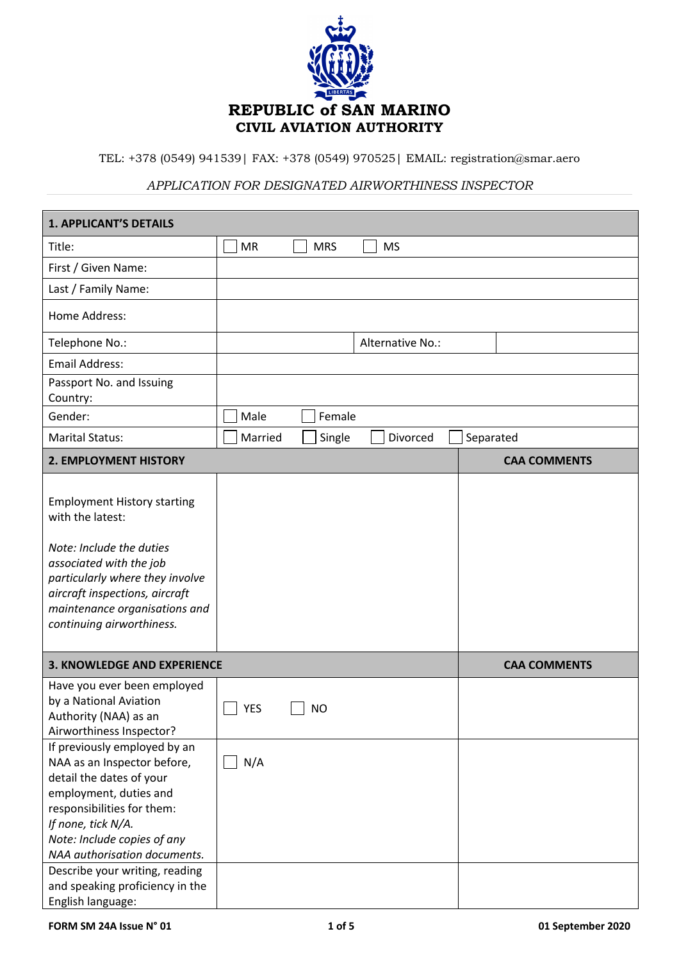

TEL: +378 (0549) 941539| FAX: +378 (0549) 970525| EMAIL: registration@smar.aero

## *APPLICATION FOR DESIGNATED AIRWORTHINESS INSPECTOR*

| <b>1. APPLICANT'S DETAILS</b>                                                                                                                                                                                                                                          |            |            |                  |           |                     |
|------------------------------------------------------------------------------------------------------------------------------------------------------------------------------------------------------------------------------------------------------------------------|------------|------------|------------------|-----------|---------------------|
| Title:                                                                                                                                                                                                                                                                 | <b>MR</b>  | <b>MRS</b> | <b>MS</b>        |           |                     |
| First / Given Name:                                                                                                                                                                                                                                                    |            |            |                  |           |                     |
| Last / Family Name:                                                                                                                                                                                                                                                    |            |            |                  |           |                     |
| Home Address:                                                                                                                                                                                                                                                          |            |            |                  |           |                     |
| Telephone No.:                                                                                                                                                                                                                                                         |            |            | Alternative No.: |           |                     |
| <b>Email Address:</b>                                                                                                                                                                                                                                                  |            |            |                  |           |                     |
| Passport No. and Issuing<br>Country:                                                                                                                                                                                                                                   |            |            |                  |           |                     |
| Gender:                                                                                                                                                                                                                                                                | Male       | Female     |                  |           |                     |
| <b>Marital Status:</b>                                                                                                                                                                                                                                                 | Married    | Single     | Divorced         | Separated |                     |
| 2. EMPLOYMENT HISTORY                                                                                                                                                                                                                                                  |            |            |                  |           | <b>CAA COMMENTS</b> |
| <b>Employment History starting</b><br>with the latest:<br>Note: Include the duties<br>associated with the job<br>particularly where they involve<br>aircraft inspections, aircraft<br>maintenance organisations and<br>continuing airworthiness.                       |            |            |                  |           |                     |
| <b>3. KNOWLEDGE AND EXPERIENCE</b>                                                                                                                                                                                                                                     |            |            |                  |           | <b>CAA COMMENTS</b> |
| Have you ever been employed<br>by a National Aviation<br>Authority (NAA) as an<br>Airworthiness Inspector?                                                                                                                                                             | <b>YES</b> | <b>NO</b>  |                  |           |                     |
| If previously employed by an<br>NAA as an Inspector before,<br>detail the dates of your<br>employment, duties and<br>responsibilities for them:<br>If none, tick N/A.<br>Note: Include copies of any<br>NAA authorisation documents.<br>Describe your writing, reading | N/A        |            |                  |           |                     |
| and speaking proficiency in the<br>English language:                                                                                                                                                                                                                   |            |            |                  |           |                     |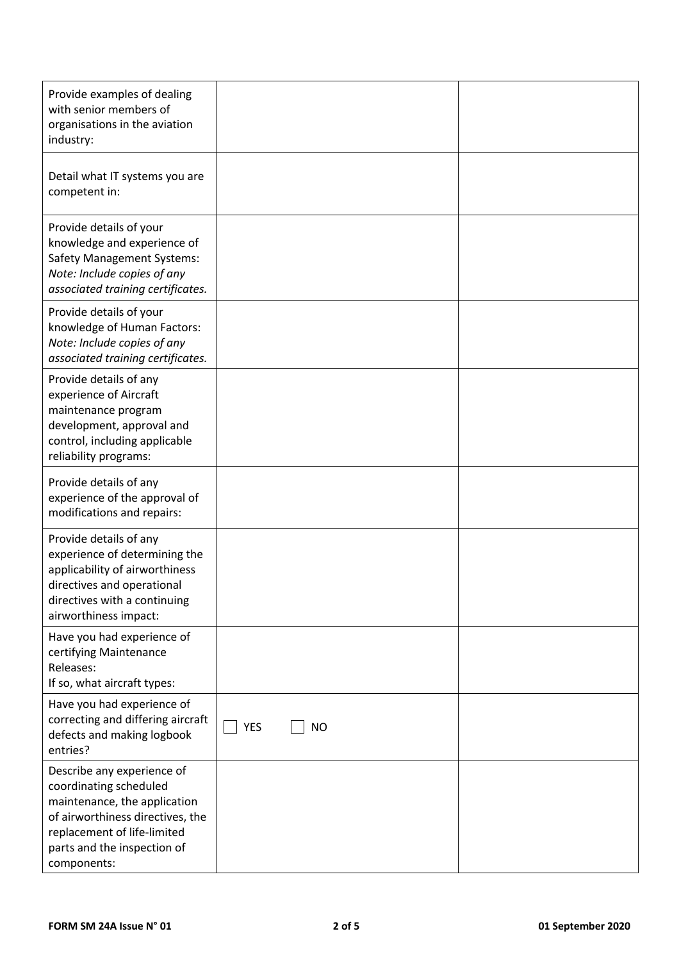| Provide examples of dealing<br>with senior members of<br>organisations in the aviation<br>industry:                                                                                                   |                         |  |
|-------------------------------------------------------------------------------------------------------------------------------------------------------------------------------------------------------|-------------------------|--|
| Detail what IT systems you are<br>competent in:                                                                                                                                                       |                         |  |
| Provide details of your<br>knowledge and experience of<br><b>Safety Management Systems:</b><br>Note: Include copies of any<br>associated training certificates.                                       |                         |  |
| Provide details of your<br>knowledge of Human Factors:<br>Note: Include copies of any<br>associated training certificates.                                                                            |                         |  |
| Provide details of any<br>experience of Aircraft<br>maintenance program<br>development, approval and<br>control, including applicable<br>reliability programs:                                        |                         |  |
| Provide details of any<br>experience of the approval of<br>modifications and repairs:                                                                                                                 |                         |  |
| Provide details of any<br>experience of determining the<br>applicability of airworthiness<br>directives and operational<br>directives with a continuing<br>airworthiness impact:                      |                         |  |
| Have you had experience of<br>certifying Maintenance<br>Releases:<br>If so, what aircraft types:                                                                                                      |                         |  |
| Have you had experience of<br>correcting and differing aircraft<br>defects and making logbook<br>entries?                                                                                             | <b>YES</b><br><b>NO</b> |  |
| Describe any experience of<br>coordinating scheduled<br>maintenance, the application<br>of airworthiness directives, the<br>replacement of life-limited<br>parts and the inspection of<br>components: |                         |  |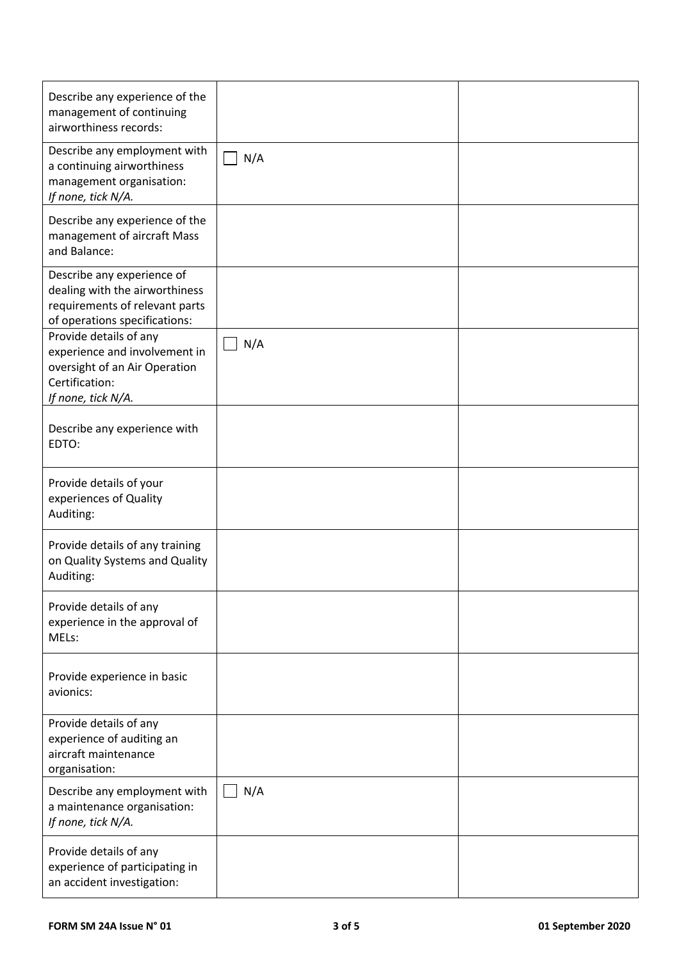| Describe any experience of the<br>management of continuing<br>airworthiness records:                                             |     |  |
|----------------------------------------------------------------------------------------------------------------------------------|-----|--|
| Describe any employment with<br>a continuing airworthiness<br>management organisation:<br>If none, tick N/A.                     | N/A |  |
| Describe any experience of the<br>management of aircraft Mass<br>and Balance:                                                    |     |  |
| Describe any experience of<br>dealing with the airworthiness<br>requirements of relevant parts<br>of operations specifications:  |     |  |
| Provide details of any<br>experience and involvement in<br>oversight of an Air Operation<br>Certification:<br>If none, tick N/A. | N/A |  |
| Describe any experience with<br>EDTO:                                                                                            |     |  |
| Provide details of your<br>experiences of Quality<br>Auditing:                                                                   |     |  |
| Provide details of any training<br>on Quality Systems and Quality<br>Auditing:                                                   |     |  |
| Provide details of any<br>experience in the approval of<br>MELs:                                                                 |     |  |
| Provide experience in basic<br>avionics:                                                                                         |     |  |
| Provide details of any<br>experience of auditing an<br>aircraft maintenance<br>organisation:                                     |     |  |
| Describe any employment with<br>a maintenance organisation:<br>If none, tick N/A.                                                | N/A |  |
| Provide details of any<br>experience of participating in<br>an accident investigation:                                           |     |  |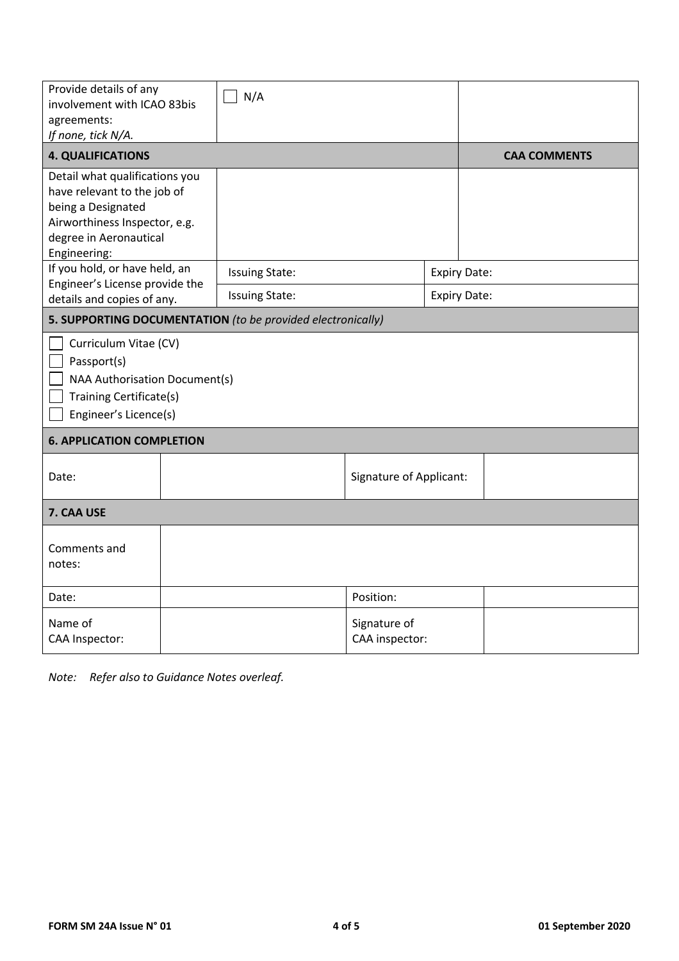| Provide details of any<br>involvement with ICAO 83bis<br>agreements:<br>If none, tick N/A.                                                                     |                     | N/A                                                         |                                |                     |  |  |
|----------------------------------------------------------------------------------------------------------------------------------------------------------------|---------------------|-------------------------------------------------------------|--------------------------------|---------------------|--|--|
| <b>4. QUALIFICATIONS</b>                                                                                                                                       | <b>CAA COMMENTS</b> |                                                             |                                |                     |  |  |
| Detail what qualifications you<br>have relevant to the job of<br>being a Designated<br>Airworthiness Inspector, e.g.<br>degree in Aeronautical<br>Engineering: |                     |                                                             |                                |                     |  |  |
| If you hold, or have held, an<br>Engineer's License provide the                                                                                                |                     | <b>Issuing State:</b>                                       |                                | <b>Expiry Date:</b> |  |  |
| details and copies of any.                                                                                                                                     |                     | <b>Issuing State:</b>                                       |                                | <b>Expiry Date:</b> |  |  |
|                                                                                                                                                                |                     | 5. SUPPORTING DOCUMENTATION (to be provided electronically) |                                |                     |  |  |
| Curriculum Vitae (CV)<br>Passport(s)<br>NAA Authorisation Document(s)<br>Training Certificate(s)<br>Engineer's Licence(s)                                      |                     |                                                             |                                |                     |  |  |
| <b>6. APPLICATION COMPLETION</b>                                                                                                                               |                     |                                                             |                                |                     |  |  |
| Date:                                                                                                                                                          |                     |                                                             | <b>Signature of Applicant:</b> |                     |  |  |
| 7. CAA USE                                                                                                                                                     |                     |                                                             |                                |                     |  |  |
| Comments and<br>notes:                                                                                                                                         |                     |                                                             |                                |                     |  |  |
| Date:                                                                                                                                                          |                     |                                                             | Position:                      |                     |  |  |
| Name of<br>CAA Inspector:                                                                                                                                      |                     |                                                             | Signature of<br>CAA inspector: |                     |  |  |

*Note: Refer also to Guidance Notes overleaf.*